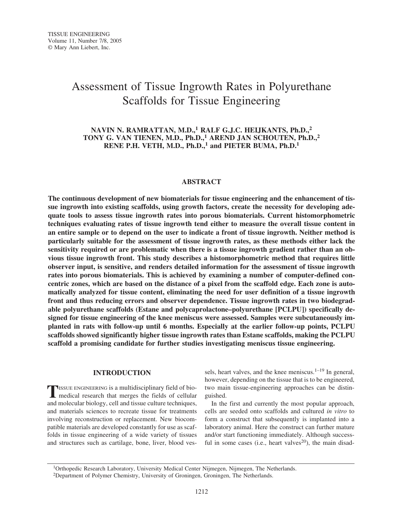# Assessment of Tissue Ingrowth Rates in Polyurethane Scaffolds for Tissue Engineering

## **NAVIN N. RAMRATTAN, M.D.,<sup>1</sup> RALF G.J.C. HEIJKANTS, Ph.D.,<sup>2</sup> TONY G. VAN TIENEN, M.D., Ph.D.,<sup>1</sup> AREND JAN SCHOUTEN, Ph.D.,<sup>2</sup> RENE P.H. VETH, M.D., Ph.D.,<sup>1</sup> and PIETER BUMA, Ph.D.<sup>1</sup>**

### **ABSTRACT**

**The continuous development of new biomaterials for tissue engineering and the enhancement of tissue ingrowth into existing scaffolds, using growth factors, create the necessity for developing adequate tools to assess tissue ingrowth rates into porous biomaterials. Current histomorphometric techniques evaluating rates of tissue ingrowth tend either to measure the overall tissue content in an entire sample or to depend on the user to indicate a front of tissue ingrowth. Neither method is particularly suitable for the assessment of tissue ingrowth rates, as these methods either lack the sensitivity required or are problematic when there is a tissue ingrowth gradient rather than an obvious tissue ingrowth front. This study describes a histomorphometric method that requires little observer input, is sensitive, and renders detailed information for the assessment of tissue ingrowth rates into porous biomaterials. This is achieved by examining a number of computer-defined concentric zones, which are based on the distance of a pixel from the scaffold edge. Each zone is automatically analyzed for tissue content, eliminating the need for user definition of a tissue ingrowth front and thus reducing errors and observer dependence. Tissue ingrowth rates in two biodegradable polyurethane scaffolds (Estane and polycaprolactone–polyurethane [PCLPU]) specifically designed for tissue engineering of the knee meniscus were assessed. Samples were subcutaneously implanted in rats with follow-up until 6 months. Especially at the earlier follow-up points, PCLPU scaffolds showed significantly higher tissue ingrowth rates than Estane scaffolds, making the PCLPU scaffold a promising candidate for further studies investigating meniscus tissue engineering.**

## **INTRODUCTION**

**TISSUE ENGINEERING is a multidisciplinary field of bio-**<br>medical research that merges the fields of cellular and molecular biology, cell and tissue culture techniques, and materials sciences to recreate tissue for treatments involving reconstruction or replacement. New biocompatible materials are developed constantly for use as scaffolds in tissue engineering of a wide variety of tissues and structures such as cartilage, bone, liver, blood ves-

sels, heart valves, and the knee meniscus. $1-19$  In general, however, depending on the tissue that is to be engineered, two main tissue-engineering approaches can be distinguished.

In the first and currently the most popular approach, cells are seeded onto scaffolds and cultured *in vitro* to form a construct that subsequently is implanted into a laboratory animal. Here the construct can further mature and/or start functioning immediately. Although successful in some cases (i.e., heart valves<sup>20</sup>), the main disad-

<sup>&</sup>lt;sup>1</sup>Orthopedic Research Laboratory, University Medical Center Nijmegen, Nijmegen, The Netherlands.

<sup>2</sup>Department of Polymer Chemistry, University of Groningen, Groningen, The Netherlands.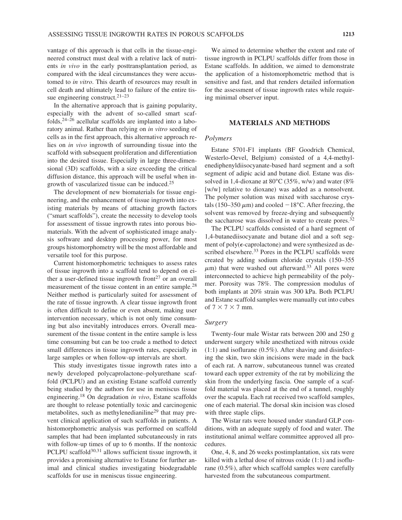vantage of this approach is that cells in the tissue-engineered construct must deal with a relative lack of nutrients *in vivo* in the early posttransplantation period, as compared with the ideal circumstances they were accustomed to *in vitro*. This dearth of resources may result in cell death and ultimately lead to failure of the entire tissue engineering construct.<sup>21-23</sup>

In the alternative approach that is gaining popularity, especially with the advent of so-called smart scaffolds,24–26 acellular scaffolds are implanted into a laboratory animal. Rather than relying on *in vitro* seeding of cells as in the first approach, this alternative approach relies on *in vivo* ingrowth of surrounding tissue into the scaffold with subsequent proliferation and differentiation into the desired tissue. Especially in large three-dimensional (3D) scaffolds, with a size exceeding the critical diffusion distance, this approach will be useful when ingrowth of vascularized tissue can be induced.<sup>25</sup>

The development of new biomaterials for tissue engineering, and the enhancement of tissue ingrowth into existing materials by means of attaching growth factors ("smart scaffolds"), create the necessity to develop tools for assessment of tissue ingrowth rates into porous biomaterials. With the advent of sophisticated image analysis software and desktop processing power, for most groups histomorphometry will be the most affordable and versatile tool for this purpose.

Current histomorphometric techniques to assess rates of tissue ingrowth into a scaffold tend to depend on either a user-defined tissue ingrowth front<sup>27</sup> or an overall measurement of the tissue content in an entire sample.<sup>28</sup> Neither method is particularly suited for assessment of the rate of tissue ingrowth. A clear tissue ingrowth front is often difficult to define or even absent, making user intervention necessary, which is not only time consuming but also inevitably introduces errors. Overall measurement of the tissue content in the entire sample is less time consuming but can be too crude a method to detect small differences in tissue ingrowth rates, especially in large samples or when follow-up intervals are short.

This study investigates tissue ingrowth rates into a newly developed polycaprolactone–polyurethane scaffold (PCLPU) and an existing Estane scaffold currently being studied by the authors for use in meniscus tissue engineering.<sup>18</sup> On degradation *in vivo*, Estane scaffolds are thought to release potentially toxic and carcinogenic metabolites, such as methylenedianiline<sup>29</sup> that may prevent clinical application of such scaffolds in patients. A histomorphometric analysis was performed on scaffold samples that had been implanted subcutaneously in rats with follow-up times of up to 6 months. If the nontoxic PCLPU scaffold<sup>30,31</sup> allows sufficient tissue ingrowth, it provides a promising alternative to Estane for further animal and clinical studies investigating biodegradable scaffolds for use in meniscus tissue engineering.

We aimed to determine whether the extent and rate of tissue ingrowth in PCLPU scaffolds differ from those in Estane scaffolds. In addition, we aimed to demonstrate the application of a histomorphometric method that is sensitive and fast, and that renders detailed information for the assessment of tissue ingrowth rates while requiring minimal observer input.

## **MATERIALS AND METHODS**

#### *Polymers*

Estane 5701-F1 implants (BF Goodrich Chemical, Westerlo-Oevel, Belgium) consisted of a 4,4-methylenediphenyldiisocyanate-based hard segment and a soft segment of adipic acid and butane diol. Estane was dissolved in 1,4-dioxane at 80°C (35%, w/w) and water (8% [w/w] relative to dioxane) was added as a nonsolvent. The polymer solution was mixed with saccharose crystals (150–350  $\mu$ m) and cooled -18°C. After freezing, the solvent was removed by freeze-drying and subsequently the saccharose was dissolved in water to create pores.<sup>32</sup>

The PCLPU scaffolds consisted of a hard segment of 1,4-butanediisocyanate and butane diol and a soft segment of poly( $\epsilon$ -caprolactone) and were synthesized as described elsewhere.<sup>33</sup> Pores in the PCLPU scaffolds were created by adding sodium chloride crystals (150–355  $\mu$ m) that were washed out afterward.<sup>33</sup> All pores were interconnected to achieve high permeability of the polymer. Porosity was 78%. The compression modulus of both implants at 20% strain was 300 kPa. Both PCLPU and Estane scaffold samples were manually cut into cubes of  $7 \times 7 \times 7$  mm.

## *Surgery*

Twenty-four male Wistar rats between 200 and 250 g underwent surgery while anesthetized with nitrous oxide (1:1) and isoflurane (0.5%). After shaving and disinfecting the skin, two skin incisions were made in the back of each rat. A narrow, subcutaneous tunnel was created toward each upper extremity of the rat by mobilizing the skin from the underlying fascia. One sample of a scaffold material was placed at the end of a tunnel, roughly over the scapula. Each rat received two scaffold samples, one of each material. The dorsal skin incision was closed with three staple clips.

The Wistar rats were housed under standard GLP conditions, with an adequate supply of food and water. The institutional animal welfare committee approved all procedures.

One, 4, 8, and 26 weeks postimplantation, six rats were killed with a lethal dose of nitrous oxide (1:1) and isoflurane (0.5%), after which scaffold samples were carefully harvested from the subcutaneous compartment.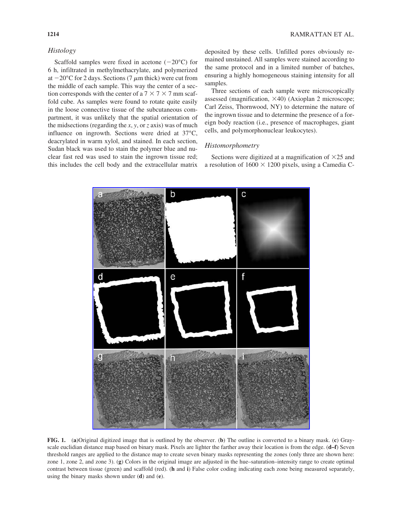## *Histology*

Scaffold samples were fixed in acetone  $(-20^{\circ}C)$  for 6 h, infiltrated in methylmethacrylate, and polymerized at  $-20^{\circ}$ C for 2 days. Sections (7  $\mu$ m thick) were cut from the middle of each sample. This way the center of a section corresponds with the center of a  $7 \times 7 \times 7$  mm scaffold cube. As samples were found to rotate quite easily in the loose connective tissue of the subcutaneous compartment, it was unlikely that the spatial orientation of the midsections (regarding the *x*, *y*, or *z* axis) was of much influence on ingrowth. Sections were dried at 37°C, deacrylated in warm xylol, and stained. In each section, Sudan black was used to stain the polymer blue and nuclear fast red was used to stain the ingrown tissue red; this includes the cell body and the extracellular matrix

deposited by these cells. Unfilled pores obviously remained unstained. All samples were stained according to the same protocol and in a limited number of batches, ensuring a highly homogeneous staining intensity for all samples.

Three sections of each sample were microscopically assessed (magnification,  $\times$ 40) (Axioplan 2 microscope; Carl Zeiss, Thornwood, NY) to determine the nature of the ingrown tissue and to determine the presence of a foreign body reaction (i.e., presence of macrophages, giant cells, and polymorphonuclear leukocytes).

## *Histomorphometry*

Sections were digitized at a magnification of  $\times$ 25 and a resolution of  $1600 \times 1200$  pixels, using a Camedia C-



**FIG. 1.** (**a**)Original digitized image that is outlined by the observer. (**b**) The outline is converted to a binary mask. (**c**) Grayscale euclidian distance map based on binary mask. Pixels are lighter the farther away their location is from the edge. (**d–f**) Seven threshold ranges are applied to the distance map to create seven binary masks representing the zones (only three are shown here: zone 1, zone 2, and zone 3). (**g**) Colors in the original image are adjusted in the hue–saturation–intensity range to create optimal contrast between tissue (green) and scaffold (red). (**h** and **i**) False color coding indicating each zone being measured separately, using the binary masks shown under (**d**) and (**e**).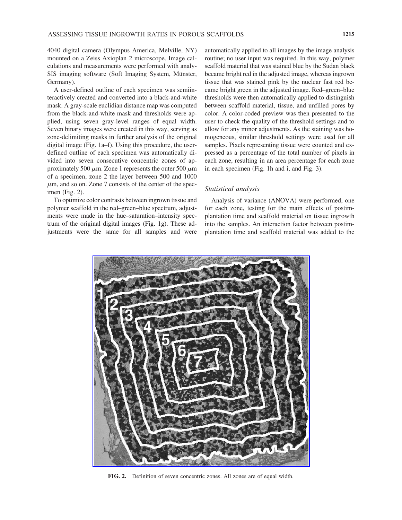4040 digital camera (Olympus America, Melville, NY) mounted on a Zeiss Axioplan 2 microscope. Image calculations and measurements were performed with analy-SIS imaging software (Soft Imaging System, Münster, Germany).

A user-defined outline of each specimen was semiinteractively created and converted into a black-and-white mask. A gray-scale euclidian distance map was computed from the black-and-white mask and thresholds were applied, using seven gray-level ranges of equal width. Seven binary images were created in this way, serving as zone-delimiting masks in further analysis of the original digital image (Fig. 1a–f). Using this procedure, the userdefined outline of each specimen was automatically divided into seven consecutive concentric zones of approximately 500  $\mu$ m. Zone 1 represents the outer 500  $\mu$ m of a specimen, zone 2 the layer between 500 and 1000  $\mu$ m, and so on. Zone 7 consists of the center of the specimen (Fig. 2).

To optimize color contrasts between ingrown tissue and polymer scaffold in the red–green–blue spectrum, adjustments were made in the hue–saturation–intensity spectrum of the original digital images (Fig. 1g). These adjustments were the same for all samples and were automatically applied to all images by the image analysis routine; no user input was required. In this way, polymer scaffold material that was stained blue by the Sudan black became bright red in the adjusted image, whereas ingrown tissue that was stained pink by the nuclear fast red became bright green in the adjusted image. Red–green–blue thresholds were then automatically applied to distinguish between scaffold material, tissue, and unfilled pores by color. A color-coded preview was then presented to the user to check the quality of the threshold settings and to allow for any minor adjustments. As the staining was homogeneous, similar threshold settings were used for all samples. Pixels representing tissue were counted and expressed as a percentage of the total number of pixels in each zone, resulting in an area percentage for each zone in each specimen (Fig. 1h and i, and Fig. 3).

#### *Statistical analysis*

Analysis of variance (ANOVA) were performed, one for each zone, testing for the main effects of postimplantation time and scaffold material on tissue ingrowth into the samples. An interaction factor between postimplantation time and scaffold material was added to the



**FIG. 2.** Definition of seven concentric zones. All zones are of equal width.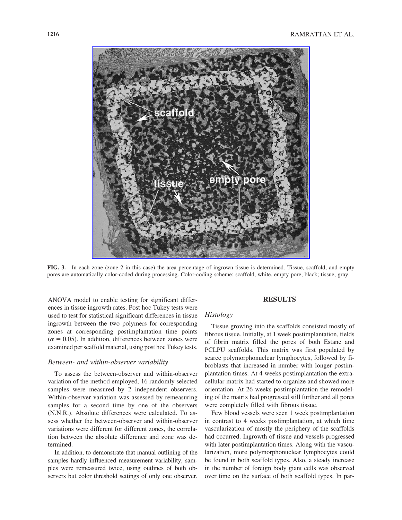

**FIG. 3.** In each zone (zone 2 in this case) the area percentage of ingrown tissue is determined. Tissue, scaffold, and empty pores are automatically color-coded during processing. Color-coding scheme: scaffold, white, empty pore, black; tissue, gray.

ANOVA model to enable testing for significant differences in tissue ingrowth rates. Post hoc Tukey tests were used to test for statistical significant differences in tissue ingrowth between the two polymers for corresponding zones at corresponding postimplantation time points  $(\alpha = 0.05)$ . In addition, differences between zones were examined per scaffold material, using post hoc Tukey tests.

#### *Between- and within-observer variability*

To assess the between-observer and within-observer variation of the method employed, 16 randomly selected samples were measured by 2 independent observers. Within-observer variation was assessed by remeasuring samples for a second time by one of the observers (N.N.R.). Absolute differences were calculated. To assess whether the between-observer and within-observer variations were different for different zones, the correlation between the absolute difference and zone was determined.

In addition, to demonstrate that manual outlining of the samples hardly influenced measurement variability, samples were remeasured twice, using outlines of both observers but color threshold settings of only one observer.

## **RESULTS**

## *Histology*

Tissue growing into the scaffolds consisted mostly of fibrous tissue. Initially, at 1 week postimplantation, fields of fibrin matrix filled the pores of both Estane and PCLPU scaffolds. This matrix was first populated by scarce polymorphonuclear lymphocytes, followed by fibroblasts that increased in number with longer postimplantation times. At 4 weeks postimplantation the extracellular matrix had started to organize and showed more orientation. At 26 weeks postimplantation the remodeling of the matrix had progressed still further and all pores were completely filled with fibrous tissue.

Few blood vessels were seen 1 week postimplantation in contrast to 4 weeks postimplantation, at which time vascularization of mostly the periphery of the scaffolds had occurred. Ingrowth of tissue and vessels progressed with later postimplantation times. Along with the vascularization, more polymorphonuclear lymphocytes could be found in both scaffold types. Also, a steady increase in the number of foreign body giant cells was observed over time on the surface of both scaffold types. In par-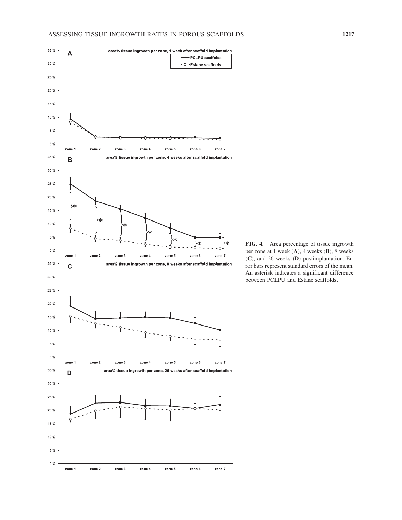

**FIG. 4.** Area percentage of tissue ingrowth per zone at 1 week (**A**), 4 weeks (**B**), 8 weeks (**C**), and 26 weeks (**D**) postimplantation. Error bars represent standard errors of the mean. An asterisk indicates a significant difference between PCLPU and Estane scaffolds.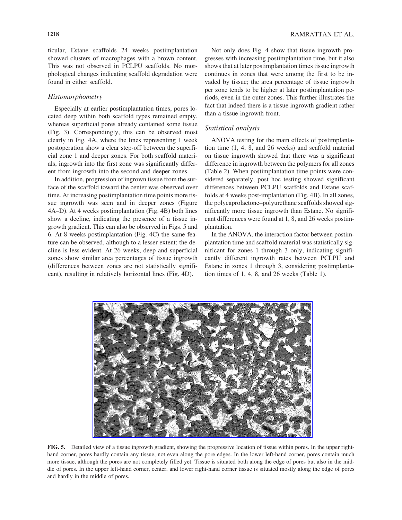ticular, Estane scaffolds 24 weeks postimplantation showed clusters of macrophages with a brown content. This was not observed in PCLPU scaffolds. No morphological changes indicating scaffold degradation were found in either scaffold.

#### *Histomorphometry*

Especially at earlier postimplantation times, pores located deep within both scaffold types remained empty, whereas superficial pores already contained some tissue (Fig. 3). Correspondingly, this can be observed most clearly in Fig. 4A, where the lines representing 1 week postoperation show a clear step-off between the superficial zone 1 and deeper zones. For both scaffold materials, ingrowth into the first zone was significantly different from ingrowth into the second and deeper zones.

In addition, progression of ingrown tissue from the surface of the scaffold toward the center was observed over time. At increasing postimplantation time points more tissue ingrowth was seen and in deeper zones (Figure 4A–D). At 4 weeks postimplantation (Fig. 4B) both lines show a decline, indicating the presence of a tissue ingrowth gradient. This can also be observed in Figs. 5 and 6. At 8 weeks postimplantation (Fig. 4C) the same feature can be observed, although to a lesser extent; the decline is less evident. At 26 weeks, deep and superficial zones show similar area percentages of tissue ingrowth (differences between zones are not statistically significant), resulting in relatively horizontal lines (Fig. 4D).

Not only does Fig. 4 show that tissue ingrowth progresses with increasing postimplantation time, but it also shows that at later postimplantation times tissue ingrowth continues in zones that were among the first to be invaded by tissue; the area percentage of tissue ingrowth per zone tends to be higher at later postimplantation periods, even in the outer zones. This further illustrates the fact that indeed there is a tissue ingrowth gradient rather than a tissue ingrowth front.

#### *Statistical analysis*

ANOVA testing for the main effects of postimplantation time (1, 4, 8, and 26 weeks) and scaffold material on tissue ingrowth showed that there was a significant difference in ingrowth between the polymers for all zones (Table 2). When postimplantation time points were considered separately, post hoc testing showed significant differences between PCLPU scaffolds and Estane scaffolds at 4 weeks post-implantation (Fig. 4B). In all zones, the polycaprolactone–polyurethane scaffolds showed significantly more tissue ingrowth than Estane. No significant differences were found at 1, 8, and 26 weeks postimplantation.

In the ANOVA, the interaction factor between postimplantation time and scaffold material was statistically significant for zones 1 through 3 only, indicating significantly different ingrowth rates between PCLPU and Estane in zones 1 through 3, considering postimplantation times of 1, 4, 8, and 26 weeks (Table 1).



**FIG. 5.** Detailed view of a tissue ingrowth gradient, showing the progressive location of tissue within pores. In the upper righthand corner, pores hardly contain any tissue, not even along the pore edges. In the lower left-hand corner, pores contain much more tissue, although the pores are not completely filled yet. Tissue is situated both along the edge of pores but also in the middle of pores. In the upper left-hand corner, center, and lower right-hand corner tissue is situated mostly along the edge of pores and hardly in the middle of pores.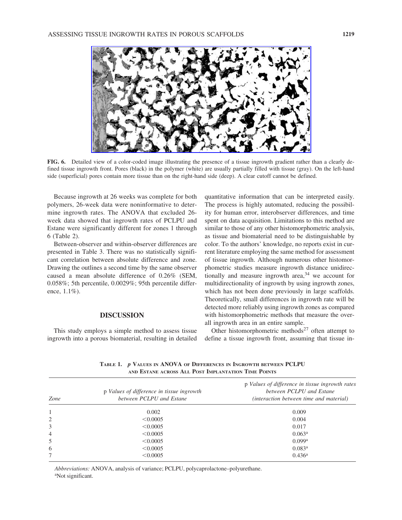

**FIG. 6.** Detailed view of a color-coded image illustrating the presence of a tissue ingrowth gradient rather than a clearly defined tissue ingrowth front. Pores (black) in the polymer (white) are usually partially filled with tissue (gray). On the left-hand side (superficial) pores contain more tissue than on the right-hand side (deep). A clear cutoff cannot be defined.

Because ingrowth at 26 weeks was complete for both polymers, 26-week data were noninformative to determine ingrowth rates. The ANOVA that excluded 26 week data showed that ingrowth rates of PCLPU and Estane were significantly different for zones 1 through 6 (Table 2).

Between-observer and within-observer differences are presented in Table 3. There was no statistically significant correlation between absolute difference and zone. Drawing the outlines a second time by the same observer caused a mean absolute difference of 0.26% (SEM, 0.058%; 5th percentile, 0.0029%; 95th percentile difference, 1.1%).

## **DISCUSSION**

This study employs a simple method to assess tissue ingrowth into a porous biomaterial, resulting in detailed quantitative information that can be interpreted easily. The process is highly automated, reducing the possibility for human error, interobserver differences, and time spent on data acquisition. Limitations to this method are similar to those of any other histomorphometric analysis, as tissue and biomaterial need to be distinguishable by color. To the authors' knowledge, no reports exist in current literature employing the same method for assessment of tissue ingrowth. Although numerous other histomorphometric studies measure ingrowth distance unidirectionally and measure ingrowth area, $34$  we account for multidirectionality of ingrowth by using ingrowth zones, which has not been done previously in large scaffolds. Theoretically, small differences in ingrowth rate will be detected more reliably using ingrowth zones as compared with histomorphometric methods that measure the overall ingrowth area in an entire sample.

Other histomorphometric methods<sup>27</sup> often attempt to define a tissue ingrowth front, assuming that tissue in-

| Zone           | p Values of difference in tissue ingrowth<br>between PCLPU and Estane | p Values of difference in tissue ingrowth rates<br>between PCLPU and Estane<br><i>(interaction between time and material)</i> |  |
|----------------|-----------------------------------------------------------------------|-------------------------------------------------------------------------------------------------------------------------------|--|
|                | 0.002                                                                 | 0.009                                                                                                                         |  |
| $\overline{2}$ | < 0.0005                                                              | 0.004                                                                                                                         |  |
| 3              | < 0.0005                                                              | 0.017                                                                                                                         |  |
| 4              | < 0.0005                                                              | 0.063 <sup>a</sup>                                                                                                            |  |
| 5              | < 0.0005                                                              | 0.099 <sup>a</sup>                                                                                                            |  |
| 6              | < 0.0005                                                              | $0.083$ <sup>a</sup>                                                                                                          |  |
| 7              | < 0.0005                                                              | 0.436 <sup>a</sup>                                                                                                            |  |

**TABLE 1.** *p* **VALUES IN ANOVA OF DIFFERENCES IN INGROWTH BETWEEN PCLPU AND ESTANE ACROSS ALL POST IMPLANTATION TIME POINTS**

*Abbreviations:* ANOVA, analysis of variance; PCLPU, polycaprolactone–polyurethane. <sup>a</sup>Not significant.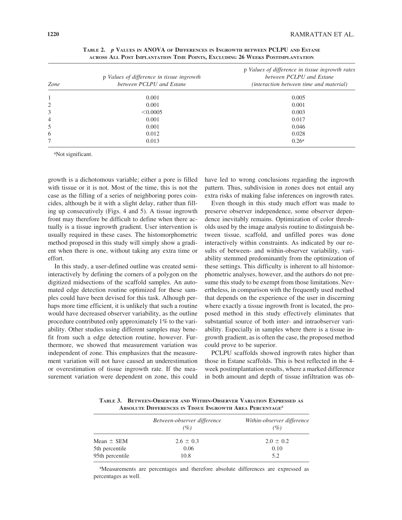| Zone           | p Values of difference in tissue ingrowth<br>between PCLPU and Estane | p Values of difference in tissue ingrowth rates<br>between PCLPU and Estane<br><i>(interaction between time and material)</i> |
|----------------|-----------------------------------------------------------------------|-------------------------------------------------------------------------------------------------------------------------------|
|                | 0.001                                                                 | 0.005                                                                                                                         |
| 2              | 0.001                                                                 | 0.001                                                                                                                         |
| 3              | < 0.0005                                                              | 0.003                                                                                                                         |
| $\overline{4}$ | 0.001                                                                 | 0.017                                                                                                                         |
| 5              | 0.001                                                                 | 0.046                                                                                                                         |
| 6              | 0.012                                                                 | 0.028                                                                                                                         |
| 7              | 0.013                                                                 | 0.26 <sup>a</sup>                                                                                                             |

**TABLE 2.** *p* **VALUES IN ANOVA OF DIFFERENCES IN INGROWTH BETWEEN PCLPU AND ESTANE ACROSS ALL POST IMPLANTATION TIME POINTS, EXCLUDING 26 WEEKS POSTIMPLANTATION**

<sup>a</sup>Not significant.

growth is a dichotomous variable; either a pore is filled with tissue or it is not. Most of the time, this is not the case as the filling of a series of neighboring pores coincides, although be it with a slight delay, rather than filling up consecutively (Figs. 4 and 5). A tissue ingrowth front may therefore be difficult to define when there actually is a tissue ingrowth gradient. User intervention is usually required in these cases. The histomorphometric method proposed in this study will simply show a gradient when there is one, without taking any extra time or effort.

In this study, a user-defined outline was created semiinteractively by defining the corners of a polygon on the digitized midsections of the scaffold samples. An automated edge detection routine optimized for these samples could have been devised for this task. Alhough perhaps more time efficient, it is unlikely that such a routine would have decreased observer variability, as the outline procedure contributed only approximately 1% to the variability. Other studies using different samples may benefit from such a edge detection routine, however. Furthermore, we showed that measurement variation was independent of zone. This emphasizes that the measurement variation will not have caused an underestimation or overestimation of tissue ingrowth rate. If the measurement variation were dependent on zone, this could have led to wrong conclusions regarding the ingrowth pattern. Thus, subdivision in zones does not entail any extra risks of making false inferences on ingrowth rates.

Even though in this study much effort was made to preserve observer independence, some observer dependence inevitably remains. Optimization of color thresholds used by the image analysis routine to distinguish between tissue, scaffold, and unfilled pores was done interactively within constraints. As indicated by our results of between- and within-observer variability, variability stemmed predominantly from the optimization of these settings. This difficulty is inherent to all histomorphometric analyses, however, and the authors do not presume this study to be exempt from those limitations. Nevertheless, in comparison with the frequently used method that depends on the experience of the user in discerning where exactly a tissue ingrowth front is located, the proposed method in this study effectively eliminates that substantial source of both inter- and intraobserver variability. Especially in samples where there is a tissue ingrowth gradient, as is often the case, the proposed method could prove to be superior.

PCLPU scaffolds showed ingrowth rates higher than those in Estane scaffolds. This is best reflected in the 4 week postimplantation results, where a marked difference in both amount and depth of tissue infiltration was ob-

**TABLE 3. BETWEEN-OBSERVER AND WITHIN-OBSERVER VARIATION EXPRESSED AS ABSOLUTE DIFFERENCES IN TISSUE INGROWTH AREA PERCENTAGE**<sup>a</sup>

|                 | Between-observer difference<br>(%) | Within-observer difference<br>(%) |
|-----------------|------------------------------------|-----------------------------------|
| Mean $\pm$ SEM  | $2.6 \pm 0.3$                      | $2.0 \pm 0.2$                     |
| 5th percentile  | 0.06                               | 0.10                              |
| 95th percentile | 10.8                               | 5.2                               |

<sup>a</sup>Measurements are percentages and therefore absolute differences are expressed as percentages as well.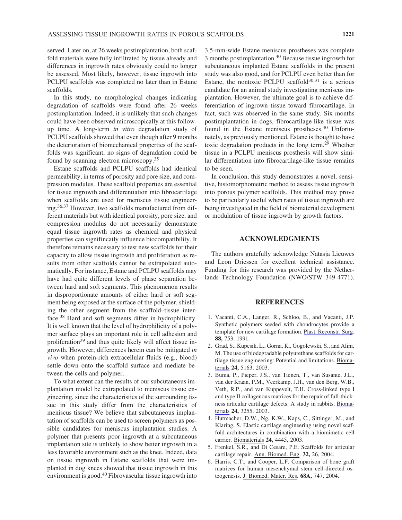served. Later on, at 26 weeks postimplantation, both scaffold materials were fully infiltrated by tissue already and differences in ingrowth rates obviously could no longer be assessed. Most likely, however, tissue ingrowth into PCLPU scaffolds was completed no later than in Estane scaffolds.

In this study, no morphological changes indicating degradation of scaffolds were found after 26 weeks postimplantation. Indeed, it is unlikely that such changes could have been observed microscopically at this followup time. A long-term *in vitro* degradation study of PCLPU scaffolds showed that even though after 9 months the deterioration of biomechanical properties of the scaffolds was significant, no signs of degradation could be found by scanning electron microscopy.<sup>35</sup>

Estane scaffolds and PCLPU scaffolds had identical permeability, in terms of porosity and pore size, and compression modulus. These scaffold properties are essential for tissue ingrowth and differentiation into fibrocartilage when scaffolds are used for meniscus tissue engineering.36,37 However, two scaffolds manufactured from different materials but with identical porosity, pore size, and compression modulus do not necessarily demonstrate equal tissue ingrowth rates as chemical and physical properties can signifincatly influence biocompatibility. It therefore remains necessary to test new scaffolds for their capacity to allow tissue ingrowth and proliferation as results from other scaffolds cannot be extrapolated automatically. For instance, Estane and PCLPU scaffolds may have had quite different levels of phase separation between hard and soft segments. This phenomenon results in disproportionate amounts of either hard or soft segment being exposed at the surface of the polymer, shielding the other segment from the scaffold–tissue interface.<sup>38</sup> Hard and soft segments differ in hydrophilicity. It is well known that the level of hydrophilicity of a polymer surface plays an important role in cell adhesion and proliferation<sup>39</sup> and thus quite likely will affect tissue ingrowth. However, differences herein can be mitigated *in vivo* when protein-rich extracellular fluids (e.g., blood) settle down onto the scaffold surface and mediate between the cells and polymer.

To what extent can the results of our subcutaneous implantation model be extrapolated to meniscus tissue engineering, since the characteristics of the surrounding tissue in this study differ from the characteristics of meniscus tissue? We believe that subcutaneous implantation of scaffolds can be used to screen polymers as possible candidates for meniscus implantation studies. A polymer that presents poor ingrowth at a subcutaneous implantation site is unlikely to show better ingrowth in a less favorable environment such as the knee. Indeed, data on tissue ingrowth in Estane scaffolds that were implanted in dog knees showed that tissue ingrowth in this environment is good.<sup>40</sup> Fibrovascular tissue ingrowth into

3.5-mm-wide Estane meniscus prostheses was complete 3 months postimplantation.<sup>40</sup> Because tissue ingrowth for subcutaneous implanted Estane scaffolds in the present study was also good, and for PCLPU even better than for Estane, the nontoxic PCLPU scaffold $30,31$  is a serious candidate for an animal study investigating meniscus implantation. However, the ultimate goal is to achieve differentiation of ingrown tissue toward fibrocartilage. In fact, such was observed in the same study. Six months postimplantation in dogs, fibrocartilage-like tissue was found in the Estane meniscus prostheses.<sup>40</sup> Unfortunately, as previously mentioned, Estane is thought to have toxic degradation products in the long term.<sup>29</sup> Whether tissue in a PCLPU meniscus prosthesis will show similar differentiation into fibrocartilage-like tissue remains to be seen.

In conclusion, this study demonstrates a novel, sensitive, histomorphometric method to assess tissue ingrowth into porous polymer scaffolds. This method may prove to be particularly useful when rates of tissue ingrowth are being investigated in the field of biomaterial development or modulation of tissue ingrowth by growth factors.

## **ACKNOWLEDGMENTS**

The authors gratefully acknowledge Natasja Lieuwes and Leon Driessen for excellent technical assistance. Funding for this research was provided by the Netherlands Technology Foundation (NWO/STW 349-4771).

## **REFERENCES**

- 1. Vacanti, C.A., Langer, R., Schloo, B., and Vacanti, J.P. Synthetic polymers seeded with chondrocytes provide a template for new cartilage formation. Plast. Reconstr. Surg. **88,** 753, 1991.
- 2. Grad, S., Kupcsik, L., Gorna, K., Gogolewski, S., and Alini, M. The use of biodegradable polyurethane scaffolds for cartilage tissue engineering: Potential and limitations. Biomaterials **24,** 5163, 2003.
- 3. Buma, P., Pieper, J.S., van Tienen, T., van Susante, J.L., van der Kraan, P.M., Veerkamp, J.H., van den Berg, W.B., Veth, R.P., and van Kuppevelt, T.H. Cross-linked type I and type II collagenous matrices for the repair of full-thickness articular cartilage defects: A study in rabbits. Biomaterials **24,** 3255, 2003.
- 4. Hutmacher, D.W., Ng, K.W., Kaps, C., Sittinger, M., and Klaring, S. Elastic cartilage engineering using novel scaffold architectures in combination with a biomimetic cell carrier. Biomaterials **24,** 4445, 2003.
- 5. Frenkel, S.R., and Di Cesare, P.E. Scaffolds for articular cartilage repair. Ann. Biomed. Eng. **32,** 26, 2004.
- 6. Harris, C.T., and Cooper, L.F. Comparison of bone graft matrices for human mesenchymal stem cell-directed osteogenesis. J. Biomed. Mater. Res. **68A,** 747, 2004.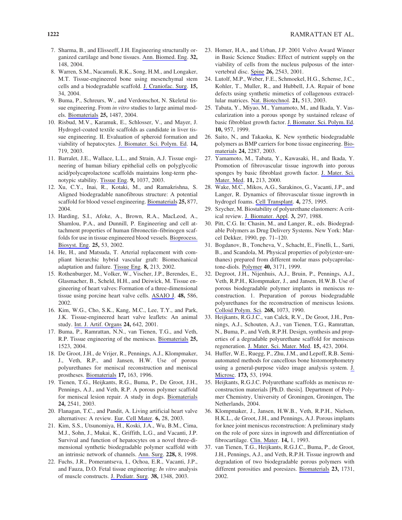- 7. Sharma, B., and Elisseeff, J.H. Engineering structurally organized cartilage and bone tissues. Ann. Biomed. Eng. **32,** 148, 2004.
- 8. Warren, S.M., Nacamuli, R.K., Song, H.M., and Longaker, M.T. Tissue-engineered bone using mesenchymal stem cells and a biodegradable scaffold. J. Craniofac. Surg. **15,** 34, 2004.
- 9. Buma, P., Schreurs, W., and Verdonschot, N. Skeletal tissue engineering. From *in vitro* studies to large animal models. Biomaterials **25,** 1487, 2004.
- 10. Risbud, M.V., Karamuk, E., Schlosser, V., and Mayer, J. Hydrogel-coated textile scaffolds as candidate in liver tissue engineering. II. Evaluation of spheroid formation and viability of hepatocytes. J. Biomater. Sci. Polym. Ed. **14,** 719, 2003.
- 11. Barralet, J.E., Wallace, L.L., and Strain, A.J. Tissue engineering of human biliary epithelial cells on polyglycolic acid/polycaprolactone scaffolds maintains long-term phenotypic stability. Tissue Eng. **9,** 1037, 2003.
- 12. Xu, C.Y., Inai, R., Kotaki, M., and Ramakrishna, S. Aligned biodegradable nanofibrous structure: A potential scaffold for blood vessel engineering. Biomaterials **25,** 877, 2004.
- 13. Harding, S.I., Afoke, A., Brown, R.A., MacLeod, A., Shamlou, P.A., and Dunnill, P. Engineering and cell attachment properties of human fibronectin–fibrinogen scaffolds for use in tissue engineered blood vessels. Bioprocess. Biosyst. Eng. **25,** 53, 2002.
- 14. He, H., and Matsuda, T. Arterial replacement with compliant hierarchic hybrid vascular graft: Biomechanical adaptation and failure. Tissue Eng. **8,** 213, 2002.
- 15. Rothenburger, M., Volker, W., Vischer, J.P., Berendes, E., Glasmacher, B., Scheld, H.H., and Deiwick, M. Tissue engineering of heart valves: Formation of a three-dimensional tissue using porcine heart valve cells. ASAIO J. **48,** 586, 2002.
- 16. Kim, W.G., Cho, S.K., Kang, M.C., Lee, T.Y., and Park, J.K. Tissue-engineered heart valve leaflets: An animal study. Int. J. Artif. Organs **24,** 642, 2001.
- 17. Buma, P., Ramrattan, N.N., van Tienen, T.G., and Veth, R.P. Tissue engineering of the meniscus. Biomaterials **25,** 1523, 2004.
- 18. De Groot, J.H., de Vrijer, R., Pennings, A.J., Klompmaker, J., Veth, R.P., and Jansen, H.W. Use of porous polyurethanes for meniscal reconstruction and meniscal prostheses. Biomaterials **17,** 163, 1996.
- 19. Tienen, T.G., Heijkants, R.G., Buma, P., De Groot, J.H., Pennings, A.J., and Veth, R.P. A porous polymer scaffold for meniscal lesion repair. A study in dogs. Biomaterials **24,** 2541, 2003.
- 20. Flanagan, T.C., and Pandit, A. Living artificial heart valve alternatives: A review. Eur. Cell Mater. **6,** 28, 2003.
- 21. Kim, S.S., Utsunomiya, H., Koski, J.A., Wu, B.M., Cima, M.J., Sohn, J., Mukai, K., Griffith, L.G., and Vacanti, J.P. Survival and function of hepatocytes on a novel three-dimensional synthetic biodegradable polymer scaffold with an intrinsic network of channels. Ann. Surg. **228,** 8, 1998.
- 22. Fuchs, J.R., Pomerantseva, I., Ochoa, E.R., Vacanti, J.P., and Fauza, D.O. Fetal tissue engineering: *In vitro* analysis of muscle constructs. J. Pediatr. Surg. **38,** 1348, 2003.
- 23. Horner, H.A., and Urban, J.P. 2001 Volvo Award Winner in Basic Science Studies: Effect of nutrient supply on the viability of cells from the nucleus pulposus of the intervertebral disc. Spine **26,** 2543, 2001.
- 24. Lutolf, M.P., Weber, F.E., Schmoekel, H.G., Schense, J.C., Kohler, T., Muller, R., and Hubbell, J.A. Repair of bone defects using synthetic mimetics of collagenous extracellular matrices. Nat. Biotechnol. **21,** 513, 2003.
- 25. Tabata, Y., Miyao, M., Yamamoto, M., and Ikada, Y. Vascularization into a porous sponge by sustained release of basic fibroblast growth factor. J. Biomater. Sci. Polym. Ed. **10,** 957, 1999.
- 26. Saito, N., and Takaoka, K. New synthetic biodegradable polymers as BMP carriers for bone tissue engineering. Biomaterials **24,** 2287, 2003.
- 27. Yamamoto, M., Tabata, Y., Kawasaki, H., and Ikada, Y. Promotion of fibrovascular tissue ingrowth into porous sponges by basic fibroblast growth factor. J. Mater. Sci. Mater. Med. **11,** 213, 2000.
- 28. Wake, M.C., Mikos, A.G., Sarakinos, G., Vacanti, J.P., and Langer, R. Dynamics of fibrovascular tissue ingrowth in hydrogel foams. Cell Transplant. **4,** 275, 1995.
- 29. Szycher, M. Biostability of polyurethane elastomers: A critical review. J. Biomater. Appl. **3,** 297, 1988.
- 30. Pitt, C.G. In: Chasin, M., and Langer, R., eds. Biodegradable Polymers as Drug Delivery Systems. New York: Marcel Dekker, 1990, pp. 71–120.
- 31. Bogdanov, B., Toncheva, V., Schacht, E., Finelli, L., Sarti, B., and Scandola, M. Physical properties of poly(ester-urethanes) prepared from different molar mass polycaprolactone-diols. Polymer **40,** 3171, 1999.
- 32. Degroot, J.H., Nijenhuis, A.J., Bruin, P., Pennings, A.J., Veth, R.P.H., Klompmaker, J., and Jansen, H.W.B. Use of porous biodegradable polymer implants in meniscus reconstruction. 1. Preparation of porous biodegradable polyurethanes for the reconstruction of meniscus lesions. Colloid Polym. Sci. **268,** 1073, 1990.
- 33. Heijkants, R.G.J.C., van Calck, R.V., De Groot, J.H., Pennings, A.J., Schouten, A.J., van Tienen, T.G., Ramrattan, N., Buma, P., and Veth, R.P.H. Design, synthesis and properties of a degradable polyurethane scaffold for meniscus regeneration. J. Mater. Sci. Mater. Med. **15,** 423, 2004.
- 34. Huffer, W.E., Ruegg, P., Zhu, J.M., and Lepoff, R.B. Semiautomated methods for cancellous bone histomorphometry using a general-purpose video image analysis system. J. Microsc. **173,** 53, 1994.
- 35. Heijkants, R.G.J.C. Polyurethane scaffolds as meniscus reconstruction materials [Ph.D. thesis]. Department of Polymer Chemistry, University of Groningen, Groningen, The Netherlands, 2004.
- 36. Klompmaker, J., Jansen, H.W.B., Veth, R.P.H., Nielsen, H.K.L., de Groot, J.H., and Pennings, A.J. Porous implants for knee joint meniscus reconstruction: A preliminary study on the role of pore sizes in ingrowth and differentiation of fibrocartilage. Clin. Mater. **14,** 1, 1993.
- 37. van Tienen, T.G., Heijkants, R.G.J.C., Buma, P., de Groot, J.H., Pennings, A.J., and Veth, R.P.H. Tissue ingrowth and degradation of two biodegradable porous polymers with different porosities and poresizes. Biomaterials **23,** 1731, 2002.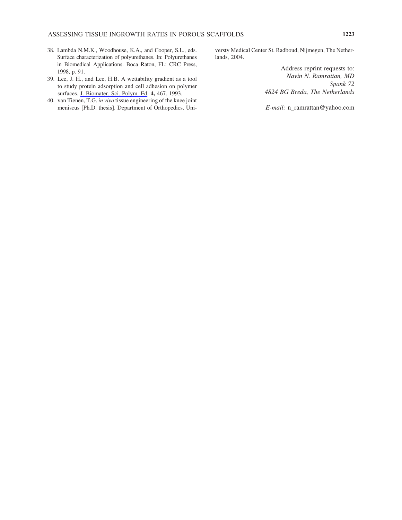- 38. Lambda N.M.K., Woodhouse, K.A., and Cooper, S.L., eds. Surface characterization of polyurethanes. In: Polyurethanes in Biomedical Applications. Boca Raton, FL: CRC Press, 1998, p. 91.
- 39. Lee, J. H., and Lee, H.B. A wettability gradient as a tool to study protein adsorption and cell adhesion on polymer surfaces. J. Biomater. Sci. Polym. Ed. **4,** 467, 1993.
- 40. van Tienen, T.G. *in vivo* tissue engineering of the knee joint meniscus [Ph.D. thesis]. Department of Orthopedics. Uni-

versty Medical Center St. Radboud, Nijmegen, The Netherlands, 2004.

> Address reprint requests to: *Navin N. Ramrattan, MD Spank 72 4824 BG Breda, The Netherlands*

*E-mail:* n\_ramrattan@yahoo.com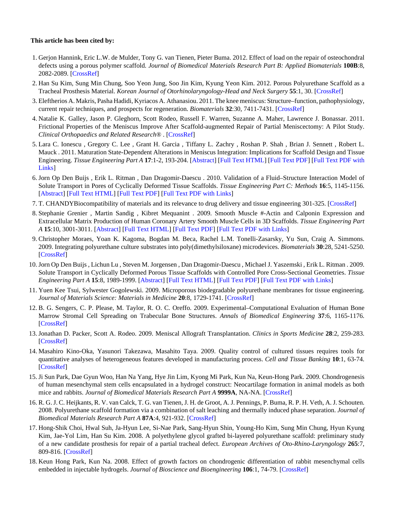## **This article has been cited by:**

- 1. Gerjon Hannink, Eric L.W. de Mulder, Tony G. van Tienen, Pieter Buma. 2012. Effect of load on the repair of osteochondral defects using a porous polymer scaffold. *Journal of Biomedical Materials Research Part B: Applied Biomaterials* **100B**:8, 2082-2089. [\[CrossRef\]](http://dx.doi.org/10.1002/jbm.b.32773)
- 2. Han Su Kim, Sung Min Chung, Soo Yeon Jung, Soo Jin Kim, Kyung Yeon Kim. 2012. Porous Polyurethane Scaffold as a Tracheal Prosthesis Material. *Korean Journal of Otorhinolaryngology-Head and Neck Surgery* **55**:1, 30. [\[CrossRef](http://dx.doi.org/10.3342/kjorl-hns.2012.55.1.30)]
- 3. Eleftherios A. Makris, Pasha Hadidi, Kyriacos A. Athanasiou. 2011. The knee meniscus: Structure–function, pathophysiology, current repair techniques, and prospects for regeneration. *Biomaterials* **32**:30, 7411-7431. [\[CrossRef](http://dx.doi.org/10.1016/j.biomaterials.2011.06.037)]
- 4. Natalie K. Galley, Jason P. Gleghorn, Scott Rodeo, Russell F. Warren, Suzanne A. Maher, Lawrence J. Bonassar. 2011. Frictional Properties of the Meniscus Improve After Scaffold-augmented Repair of Partial Meniscectomy: A Pilot Study. *Clinical Orthopaedics and Related Research®* . [[CrossRef\]](http://dx.doi.org/10.1007/s11999-011-1854-6)
- 5. Lara C. Ionescu , Gregory C. Lee , Grant H. Garcia , Tiffany L. Zachry , Roshan P. Shah , Brian J. Sennett , Robert L. Mauck . 2011. Maturation State-Dependent Alterations in Meniscus Integration: Implications for Scaffold Design and Tissue Engineering. *Tissue Engineering Part A* **17**:1-2, 193-204. [[Abstract](http://dx.doi.org/10.1089/ten.tea.2010.0272)] [\[Full Text HTML\]](http://online.liebertpub.com/doi/full/10.1089/ten.tea.2010.0272) [[Full Text PDF](http://online.liebertpub.com/doi/pdf/10.1089/ten.tea.2010.0272)] [[Full Text PDF with](http://online.liebertpub.com/doi/pdfplus/10.1089/ten.tea.2010.0272) [Links](http://online.liebertpub.com/doi/pdfplus/10.1089/ten.tea.2010.0272)]
- 6. Jorn Op Den Buijs , Erik L. Ritman , Dan Dragomir-Daescu . 2010. Validation of a Fluid–Structure Interaction Model of Solute Transport in Pores of Cyclically Deformed Tissue Scaffolds. *Tissue Engineering Part C: Methods* **16**:5, 1145-1156. [\[Abstract\]](http://dx.doi.org/10.1089/ten.tec.2009.0685) [\[Full Text HTML\]](http://online.liebertpub.com/doi/full/10.1089/ten.tec.2009.0685) [\[Full Text PDF\]](http://online.liebertpub.com/doi/pdf/10.1089/ten.tec.2009.0685) [[Full Text PDF with Links](http://online.liebertpub.com/doi/pdfplus/10.1089/ten.tec.2009.0685)]
- 7. T. CHANDYBiocompatibility of materials and its relevance to drug delivery and tissue engineering 301-325. [[CrossRef\]](http://dx.doi.org/10.1533/9781845699802.3.301)
- 8.Stephanie Grenier , Martin Sandig , Kibret Mequanint . 2009. Smooth Muscle #-Actin and Calponin Expression and Extracellular Matrix Production of Human Coronary Artery Smooth Muscle Cells in 3D Scaffolds. *Tissue Engineering Part A* **15**:10, 3001-3011. [[Abstract\]](http://dx.doi.org/10.1089/ten.tea.2009.0057) [[Full Text HTML\]](http://online.liebertpub.com/doi/full/10.1089/ten.tea.2009.0057) [[Full Text PDF\]](http://online.liebertpub.com/doi/pdf/10.1089/ten.tea.2009.0057) [[Full Text PDF with Links](http://online.liebertpub.com/doi/pdfplus/10.1089/ten.tea.2009.0057)]
- 9. Christopher Moraes, Yoan K. Kagoma, Bogdan M. Beca, Rachel L.M. Tonelli-Zasarsky, Yu Sun, Craig A. Simmons. 2009. Integrating polyurethane culture substrates into poly(dimethylsiloxane) microdevices. *Biomaterials* **30**:28, 5241-5250. [\[CrossRef](http://dx.doi.org/10.1016/j.biomaterials.2009.05.066)]
- 10. Jorn Op Den Buijs , Lichun Lu , Steven M. Jorgensen , Dan Dragomir-Daescu , Michael J. Yaszemski , Erik L. Ritman . 2009. Solute Transport in Cyclically Deformed Porous Tissue Scaffolds with Controlled Pore Cross-Sectional Geometries. *Tissue Engineering Part A* **15**:8, 1989-1999. [[Abstract\]](http://dx.doi.org/10.1089/ten.tea.2008.0382) [\[Full Text HTML\]](http://online.liebertpub.com/doi/full/10.1089/ten.tea.2008.0382) [[Full Text PDF\]](http://online.liebertpub.com/doi/pdf/10.1089/ten.tea.2008.0382) [[Full Text PDF with Links](http://online.liebertpub.com/doi/pdfplus/10.1089/ten.tea.2008.0382)]
- 11. Yuen Kee Tsui, Sylwester Gogolewski. 2009. Microporous biodegradable polyurethane membranes for tissue engineering. *Journal of Materials Science: Materials in Medicine* **20**:8, 1729-1741. [\[CrossRef](http://dx.doi.org/10.1007/s10856-009-3722-4)]
- 12. B. G. Sengers, C. P. Please, M. Taylor, R. O. C. Oreffo. 2009. Experimental–Computational Evaluation of Human Bone Marrow Stromal Cell Spreading on Trabecular Bone Structures. *Annals of Biomedical Engineering* **37**:6, 1165-1176. [\[CrossRef](http://dx.doi.org/10.1007/s10439-009-9676-3)]
- 13. Jonathan D. Packer, Scott A. Rodeo. 2009. Meniscal Allograft Transplantation. *Clinics in Sports Medicine* **28**:2, 259-283. [\[CrossRef](http://dx.doi.org/10.1016/j.csm.2008.10.011)]
- 14. Masahiro Kino-Oka, Yasunori Takezawa, Masahito Taya. 2009. Quality control of cultured tissues requires tools for quantitative analyses of heterogeneous features developed in manufacturing process. *Cell and Tissue Banking* **10**:1, 63-74. [\[CrossRef](http://dx.doi.org/10.1007/s10561-008-9103-2)]
- 15. Ji Sun Park, Dae Gyun Woo, Han Na Yang, Hye Jin Lim, Kyong Mi Park, Kun Na, Keun-Hong Park. 2009. Chondrogenesis of human mesenchymal stem cells encapsulated in a hydrogel construct: Neocartilage formation in animal models as both mice and rabbits. *Journal of Biomedical Materials Research Part A* **9999A**, NA-NA. [\[CrossRef\]](http://dx.doi.org/10.1002/jbm.a.32341)
- 16. R. G. J. C. Heijkants, R. V. van Calck, T. G. van Tienen, J. H. de Groot, A. J. Pennings, P. Buma, R. P. H. Veth, A. J. Schouten. 2008. Polyurethane scaffold formation via a combination of salt leaching and thermally induced phase separation. *Journal of Biomedical Materials Research Part A* **87A**:4, 921-932. [\[CrossRef\]](http://dx.doi.org/10.1002/jbm.a.31829)
- 17. Hong-Shik Choi, Hwal Suh, Ja-Hyun Lee, Si-Nae Park, Sang-Hyun Shin, Young-Ho Kim, Sung Min Chung, Hyun Kyung Kim, Jae-Yol Lim, Han Su Kim. 2008. A polyethylene glycol grafted bi-layered polyurethane scaffold: preliminary study of a new candidate prosthesis for repair of a partial tracheal defect. *European Archives of Oto-Rhino-Laryngology* **265**:7, 809-816. [\[CrossRef\]](http://dx.doi.org/10.1007/s00405-007-0574-8)
- 18. Keun Hong Park, Kun Na. 2008. Effect of growth factors on chondrogenic differentiation of rabbit mesenchymal cells embedded in injectable hydrogels. *Journal of Bioscience and Bioengineering* **106**:1, 74-79. [\[CrossRef](http://dx.doi.org/10.1263/jbb.106.74)]